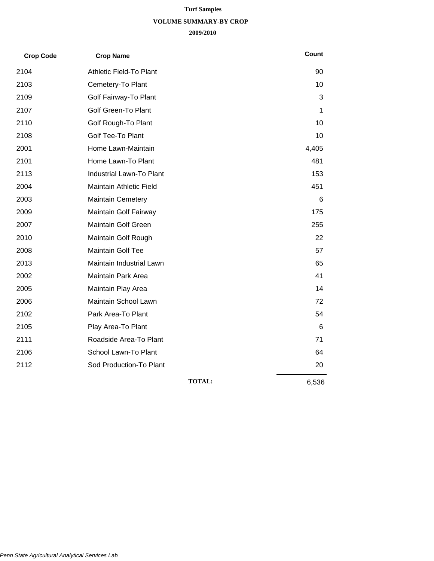# **Turf Samples**

#### **VOLUME SUMMARY-BY CROP**

#### **2009/2010**

| <b>Crop Code</b> | <b>Crop Name</b>         |               | Count |
|------------------|--------------------------|---------------|-------|
| 2104             | Athletic Field-To Plant  |               | 90    |
| 2103             | Cemetery-To Plant        |               | 10    |
| 2109             | Golf Fairway-To Plant    |               | 3     |
| 2107             | Golf Green-To Plant      |               | 1     |
| 2110             | Golf Rough-To Plant      |               | 10    |
| 2108             | Golf Tee-To Plant        |               | 10    |
| 2001             | Home Lawn-Maintain       |               | 4,405 |
| 2101             | Home Lawn-To Plant       |               | 481   |
| 2113             | Industrial Lawn-To Plant |               | 153   |
| 2004             | Maintain Athletic Field  |               | 451   |
| 2003             | <b>Maintain Cemetery</b> |               | 6     |
| 2009             | Maintain Golf Fairway    |               | 175   |
| 2007             | Maintain Golf Green      |               | 255   |
| 2010             | Maintain Golf Rough      |               | 22    |
| 2008             | <b>Maintain Golf Tee</b> |               | 57    |
| 2013             | Maintain Industrial Lawn |               | 65    |
| 2002             | Maintain Park Area       |               | 41    |
| 2005             | Maintain Play Area       |               | 14    |
| 2006             | Maintain School Lawn     |               | 72    |
| 2102             | Park Area-To Plant       |               | 54    |
| 2105             | Play Area-To Plant       |               | 6     |
| 2111             | Roadside Area-To Plant   |               | 71    |
| 2106             | School Lawn-To Plant     |               | 64    |
| 2112             | Sod Production-To Plant  |               | 20    |
|                  |                          | <b>TOTAL:</b> | 6,536 |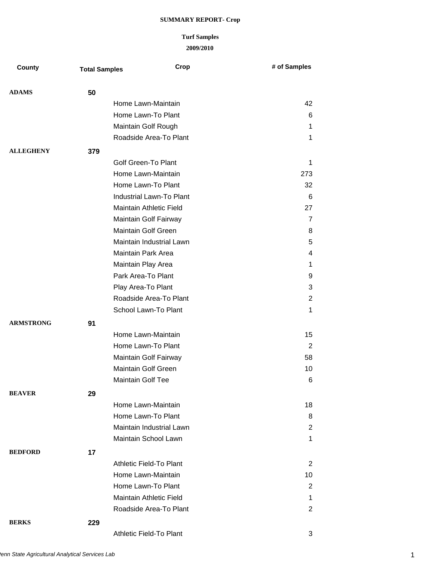| County           | <b>Total Samples</b> | Crop                            | # of Samples   |
|------------------|----------------------|---------------------------------|----------------|
| <b>ADAMS</b>     | 50                   |                                 |                |
|                  |                      | Home Lawn-Maintain              | 42             |
|                  |                      | Home Lawn-To Plant              | 6              |
|                  |                      | Maintain Golf Rough             | 1              |
|                  |                      | Roadside Area-To Plant          | $\mathbf{1}$   |
| <b>ALLEGHENY</b> | 379                  |                                 |                |
|                  |                      | <b>Golf Green-To Plant</b>      | $\mathbf 1$    |
|                  |                      | Home Lawn-Maintain              | 273            |
|                  |                      | Home Lawn-To Plant              | 32             |
|                  |                      | Industrial Lawn-To Plant        | 6              |
|                  |                      | <b>Maintain Athletic Field</b>  | 27             |
|                  |                      | Maintain Golf Fairway           | $\overline{7}$ |
|                  |                      | Maintain Golf Green             | 8              |
|                  |                      | Maintain Industrial Lawn        | 5              |
|                  |                      | <b>Maintain Park Area</b>       | 4              |
|                  |                      | Maintain Play Area              | $\mathbf 1$    |
|                  |                      | Park Area-To Plant              | 9              |
|                  |                      | Play Area-To Plant              | 3              |
|                  |                      | Roadside Area-To Plant          | $\overline{2}$ |
|                  |                      | School Lawn-To Plant            | 1              |
| <b>ARMSTRONG</b> | 91                   |                                 |                |
|                  |                      | Home Lawn-Maintain              | 15             |
|                  |                      | Home Lawn-To Plant              | $\overline{2}$ |
|                  |                      | Maintain Golf Fairway           | 58             |
|                  |                      | <b>Maintain Golf Green</b>      | 10             |
|                  |                      | Maintain Golf Tee               | 6              |
| <b>BEAVER</b>    | 29                   |                                 |                |
|                  |                      | Home Lawn-Maintain              | 18             |
|                  |                      | Home Lawn-To Plant              | 8              |
|                  |                      | <b>Maintain Industrial Lawn</b> | $\overline{c}$ |
|                  |                      | Maintain School Lawn            | $\mathbf 1$    |
| <b>BEDFORD</b>   | 17                   |                                 |                |
|                  |                      | Athletic Field-To Plant         | $\overline{2}$ |
|                  |                      | Home Lawn-Maintain              | 10             |
|                  |                      | Home Lawn-To Plant              | $\overline{2}$ |
|                  |                      | <b>Maintain Athletic Field</b>  | 1              |
|                  |                      | Roadside Area-To Plant          | $\overline{2}$ |
| <b>BERKS</b>     | 229                  |                                 |                |
|                  |                      | Athletic Field-To Plant         | 3              |
|                  |                      |                                 |                |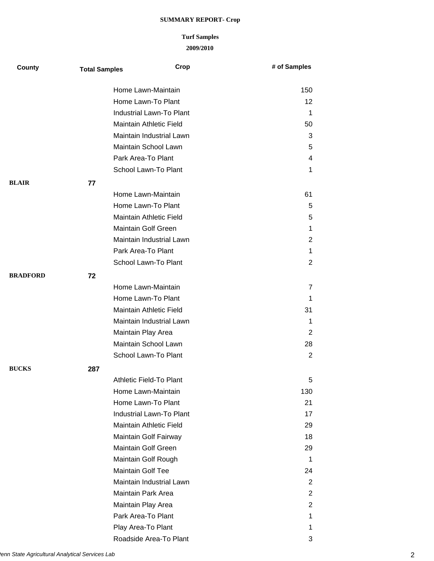| County          | <b>Total Samples</b> | Crop                           | # of Samples   |
|-----------------|----------------------|--------------------------------|----------------|
|                 |                      | Home Lawn-Maintain             | 150            |
|                 |                      | Home Lawn-To Plant             | 12             |
|                 |                      | Industrial Lawn-To Plant       | 1              |
|                 |                      | Maintain Athletic Field        | 50             |
|                 |                      | Maintain Industrial Lawn       | 3              |
|                 |                      | Maintain School Lawn           | 5              |
|                 |                      | Park Area-To Plant             | 4              |
|                 |                      | School Lawn-To Plant           | 1              |
| <b>BLAIR</b>    | 77                   |                                |                |
|                 |                      | Home Lawn-Maintain             | 61             |
|                 |                      | Home Lawn-To Plant             | 5              |
|                 |                      | <b>Maintain Athletic Field</b> | 5              |
|                 |                      | <b>Maintain Golf Green</b>     | 1              |
|                 |                      | Maintain Industrial Lawn       | $\overline{2}$ |
|                 |                      | Park Area-To Plant             | 1              |
|                 |                      | School Lawn-To Plant           | $\overline{2}$ |
| <b>BRADFORD</b> | 72                   |                                |                |
|                 |                      | Home Lawn-Maintain             | 7              |
|                 |                      | Home Lawn-To Plant             | 1              |
|                 |                      | Maintain Athletic Field        | 31             |
|                 |                      | Maintain Industrial Lawn       | 1              |
|                 |                      | Maintain Play Area             | $\overline{2}$ |
|                 |                      | Maintain School Lawn           | 28             |
|                 |                      | School Lawn-To Plant           | $\overline{2}$ |
|                 |                      |                                |                |
| <b>BUCKS</b>    | 287                  |                                |                |
|                 |                      | Athletic Field-To Plant        | 5              |
|                 |                      | Home Lawn-Maintain             | 130            |
|                 |                      | Home Lawn-To Plant             | 21             |
|                 |                      | Industrial Lawn-To Plant       | 17             |
|                 |                      | Maintain Athletic Field        | 29             |
|                 |                      | Maintain Golf Fairway          | 18             |
|                 |                      | <b>Maintain Golf Green</b>     | 29             |
|                 |                      | Maintain Golf Rough            | 1              |
|                 |                      | <b>Maintain Golf Tee</b>       | 24             |
|                 |                      | Maintain Industrial Lawn       | $\overline{2}$ |
|                 |                      | <b>Maintain Park Area</b>      | $\overline{2}$ |
|                 |                      | Maintain Play Area             | $\overline{2}$ |
|                 |                      | Park Area-To Plant             | 1              |
|                 |                      | Play Area-To Plant             | 1              |
|                 |                      | Roadside Area-To Plant         | 3              |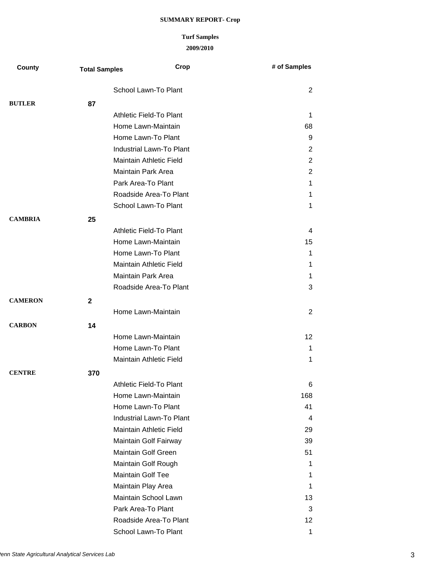| County         | <b>Total Samples</b> | Crop                            | # of Samples   |
|----------------|----------------------|---------------------------------|----------------|
|                |                      | School Lawn-To Plant            | $\overline{2}$ |
| <b>BUTLER</b>  | 87                   |                                 |                |
|                |                      | Athletic Field-To Plant         | 1              |
|                |                      | Home Lawn-Maintain              | 68             |
|                |                      | Home Lawn-To Plant              | 9              |
|                |                      | Industrial Lawn-To Plant        | $\overline{c}$ |
|                |                      | Maintain Athletic Field         | $\overline{2}$ |
|                |                      | Maintain Park Area              | $\overline{c}$ |
|                |                      | Park Area-To Plant              | 1              |
|                |                      | Roadside Area-To Plant          | 1              |
|                |                      | School Lawn-To Plant            | 1              |
| <b>CAMBRIA</b> | 25                   |                                 |                |
|                |                      | <b>Athletic Field-To Plant</b>  | 4              |
|                |                      | Home Lawn-Maintain              | 15             |
|                |                      | Home Lawn-To Plant              | 1              |
|                |                      | Maintain Athletic Field         | 1              |
|                |                      | <b>Maintain Park Area</b>       | 1              |
|                |                      | Roadside Area-To Plant          | 3              |
| <b>CAMERON</b> | $\mathbf{2}$         |                                 |                |
|                |                      | Home Lawn-Maintain              | $\overline{2}$ |
| <b>CARBON</b>  | 14                   |                                 |                |
|                |                      | Home Lawn-Maintain              | 12             |
|                |                      | Home Lawn-To Plant              | 1              |
|                |                      | Maintain Athletic Field         | 1              |
| <b>CENTRE</b>  | 370                  |                                 |                |
|                |                      | Athletic Field-To Plant         | 6              |
|                |                      | Home Lawn-Maintain              | 168            |
|                |                      | Home Lawn-To Plant              | 41             |
|                |                      | <b>Industrial Lawn-To Plant</b> | 4              |
|                |                      | <b>Maintain Athletic Field</b>  | 29             |
|                |                      | Maintain Golf Fairway           | 39             |
|                |                      | Maintain Golf Green             | 51             |
|                |                      | Maintain Golf Rough             | 1              |
|                |                      | <b>Maintain Golf Tee</b>        | 1              |
|                |                      | Maintain Play Area              | 1              |
|                |                      | Maintain School Lawn            | 13             |
|                |                      | Park Area-To Plant              | 3              |
|                |                      | Roadside Area-To Plant          | 12             |
|                |                      | School Lawn-To Plant            | 1              |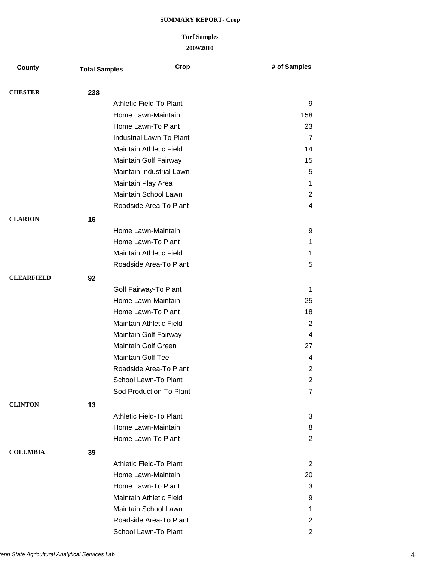| County            | <b>Total Samples</b> | Crop                           | # of Samples   |
|-------------------|----------------------|--------------------------------|----------------|
| <b>CHESTER</b>    | 238                  |                                |                |
|                   |                      | Athletic Field-To Plant        | 9              |
|                   |                      | Home Lawn-Maintain             | 158            |
|                   |                      | Home Lawn-To Plant             | 23             |
|                   |                      | Industrial Lawn-To Plant       | $\overline{7}$ |
|                   |                      | <b>Maintain Athletic Field</b> | 14             |
|                   |                      | Maintain Golf Fairway          | 15             |
|                   |                      | Maintain Industrial Lawn       | 5              |
|                   |                      | Maintain Play Area             | $\mathbf 1$    |
|                   |                      | Maintain School Lawn           | $\overline{2}$ |
|                   |                      | Roadside Area-To Plant         | $\overline{4}$ |
| <b>CLARION</b>    | 16                   |                                |                |
|                   |                      | Home Lawn-Maintain             | 9              |
|                   |                      | Home Lawn-To Plant             | 1              |
|                   |                      | <b>Maintain Athletic Field</b> | 1              |
|                   |                      | Roadside Area-To Plant         | 5              |
| <b>CLEARFIELD</b> | 92                   |                                |                |
|                   |                      | Golf Fairway-To Plant          | $\mathbf 1$    |
|                   |                      | Home Lawn-Maintain             | 25             |
|                   |                      | Home Lawn-To Plant             | 18             |
|                   |                      | Maintain Athletic Field        | $\overline{2}$ |
|                   |                      | Maintain Golf Fairway          | $\overline{4}$ |
|                   |                      | Maintain Golf Green            | 27             |
|                   |                      | Maintain Golf Tee              | 4              |
|                   |                      | Roadside Area-To Plant         | $\overline{2}$ |
|                   |                      | School Lawn-To Plant           | $\overline{c}$ |
|                   |                      | Sod Production-To Plant        | $\overline{7}$ |
| <b>CLINTON</b>    | 13                   |                                |                |
|                   |                      | Athletic Field-To Plant        | 3              |
|                   |                      | Home Lawn-Maintain             | 8              |
|                   |                      | Home Lawn-To Plant             | 2              |
| <b>COLUMBIA</b>   | 39                   |                                |                |
|                   |                      | Athletic Field-To Plant        | $\overline{2}$ |
|                   |                      | Home Lawn-Maintain             | 20             |
|                   |                      | Home Lawn-To Plant             | 3              |
|                   |                      | <b>Maintain Athletic Field</b> | 9              |
|                   |                      | Maintain School Lawn           | $\mathbf 1$    |
|                   |                      | Roadside Area-To Plant         | $\overline{2}$ |
|                   |                      | School Lawn-To Plant           | $\mathbf{2}$   |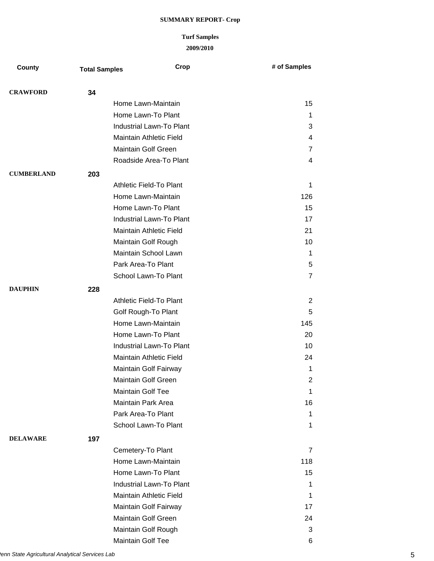| County            | <b>Total Samples</b> | Crop                           | # of Samples            |
|-------------------|----------------------|--------------------------------|-------------------------|
|                   |                      |                                |                         |
| <b>CRAWFORD</b>   | 34                   |                                |                         |
|                   |                      | Home Lawn-Maintain             | 15                      |
|                   |                      | Home Lawn-To Plant             | $\mathbf{1}$            |
|                   |                      | Industrial Lawn-To Plant       | 3                       |
|                   |                      | <b>Maintain Athletic Field</b> | 4                       |
|                   |                      | <b>Maintain Golf Green</b>     | $\overline{7}$          |
|                   |                      | Roadside Area-To Plant         | $\overline{4}$          |
| <b>CUMBERLAND</b> | 203                  |                                |                         |
|                   |                      | <b>Athletic Field-To Plant</b> | $\mathbf{1}$            |
|                   |                      | Home Lawn-Maintain             | 126                     |
|                   |                      | Home Lawn-To Plant             | 15                      |
|                   |                      | Industrial Lawn-To Plant       | 17                      |
|                   |                      | <b>Maintain Athletic Field</b> | 21                      |
|                   |                      | Maintain Golf Rough            | 10                      |
|                   |                      | Maintain School Lawn           | $\mathbf{1}$            |
|                   |                      | Park Area-To Plant             | 5                       |
|                   |                      | School Lawn-To Plant           | $\overline{7}$          |
| <b>DAUPHIN</b>    | 228                  |                                |                         |
|                   |                      | Athletic Field-To Plant        | $\overline{2}$          |
|                   |                      | Golf Rough-To Plant            | 5                       |
|                   |                      | Home Lawn-Maintain             | 145                     |
|                   |                      | Home Lawn-To Plant             | 20                      |
|                   |                      | Industrial Lawn-To Plant       | 10                      |
|                   |                      | <b>Maintain Athletic Field</b> | 24                      |
|                   |                      | Maintain Golf Fairway          | 1                       |
|                   |                      | Maintain Golf Green            | $\overline{\mathbf{c}}$ |
|                   |                      | Maintain Golf Tee              | $\mathbf 1$             |
|                   |                      | Maintain Park Area             | 16                      |
|                   |                      | Park Area-To Plant             | 1                       |
|                   |                      | School Lawn-To Plant           | $\mathbf 1$             |
| <b>DELAWARE</b>   | 197                  |                                |                         |
|                   |                      | Cemetery-To Plant              | 7                       |
|                   |                      | Home Lawn-Maintain             | 118                     |
|                   |                      | Home Lawn-To Plant             | 15                      |
|                   |                      | Industrial Lawn-To Plant       | 1                       |
|                   |                      | Maintain Athletic Field        | 1                       |
|                   |                      | Maintain Golf Fairway          | 17                      |
|                   |                      | <b>Maintain Golf Green</b>     | 24                      |
|                   |                      | Maintain Golf Rough            | 3                       |
|                   |                      | Maintain Golf Tee              | 6                       |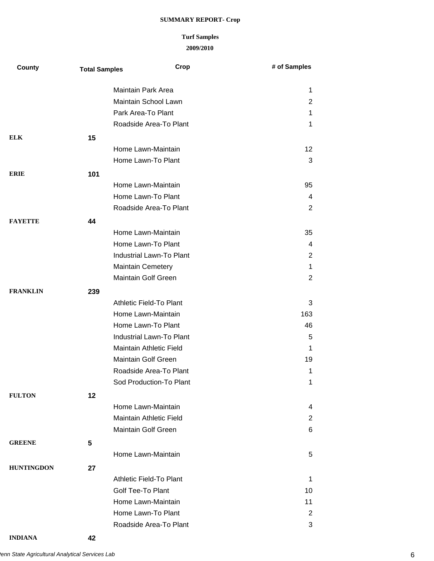# **2009/2010 Turf Samples**

| County            | <b>Total Samples</b> | Crop                            | # of Samples   |
|-------------------|----------------------|---------------------------------|----------------|
|                   |                      | Maintain Park Area              | 1              |
|                   |                      | Maintain School Lawn            | $\overline{2}$ |
|                   |                      | Park Area-To Plant              | 1              |
|                   |                      | Roadside Area-To Plant          | 1              |
| <b>ELK</b>        | 15                   |                                 |                |
|                   |                      | Home Lawn-Maintain              | 12             |
|                   |                      | Home Lawn-To Plant              | 3              |
| <b>ERIE</b>       | 101                  |                                 |                |
|                   |                      | Home Lawn-Maintain              | 95             |
|                   |                      | Home Lawn-To Plant              | 4              |
|                   |                      | Roadside Area-To Plant          | $\overline{2}$ |
| <b>FAYETTE</b>    | 44                   |                                 |                |
|                   |                      | Home Lawn-Maintain              | 35             |
|                   |                      | Home Lawn-To Plant              | 4              |
|                   |                      | Industrial Lawn-To Plant        | $\overline{2}$ |
|                   |                      | <b>Maintain Cemetery</b>        | $\mathbf 1$    |
|                   |                      | Maintain Golf Green             | $\overline{2}$ |
| <b>FRANKLIN</b>   | 239                  |                                 |                |
|                   |                      | Athletic Field-To Plant         | 3              |
|                   |                      | Home Lawn-Maintain              | 163            |
|                   |                      | Home Lawn-To Plant              | 46             |
|                   |                      | <b>Industrial Lawn-To Plant</b> | 5              |
|                   |                      | <b>Maintain Athletic Field</b>  | 1              |
|                   |                      | <b>Maintain Golf Green</b>      | 19             |
|                   |                      | Roadside Area-To Plant          | 1              |
|                   |                      | Sod Production-To Plant         | $\mathbf{1}$   |
| <b>FULTON</b>     | 12                   |                                 |                |
|                   |                      | Home Lawn-Maintain              | 4              |
|                   |                      | <b>Maintain Athletic Field</b>  | $\overline{2}$ |
|                   |                      | <b>Maintain Golf Green</b>      | 6              |
| <b>GREENE</b>     | 5                    |                                 |                |
|                   |                      | Home Lawn-Maintain              | 5              |
| <b>HUNTINGDON</b> | 27                   |                                 |                |
|                   |                      | Athletic Field-To Plant         | 1              |
|                   |                      | Golf Tee-To Plant               | 10             |
|                   |                      | Home Lawn-Maintain              | 11             |
|                   |                      | Home Lawn-To Plant              | $\overline{2}$ |
|                   |                      | Roadside Area-To Plant          | 3              |

**INDIANA 42**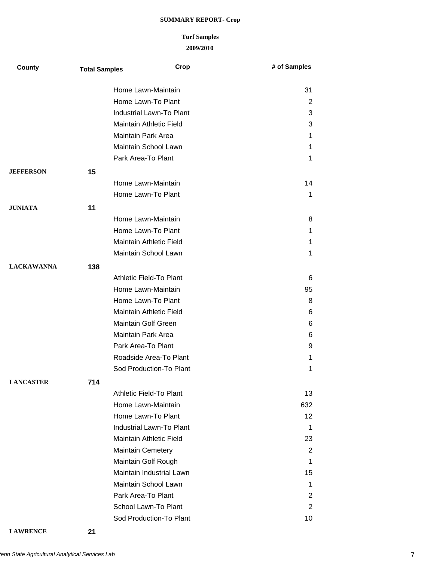| County            | <b>Total Samples</b> | Crop                           | # of Samples   |
|-------------------|----------------------|--------------------------------|----------------|
|                   |                      | Home Lawn-Maintain             | 31             |
|                   |                      | Home Lawn-To Plant             | $\overline{2}$ |
|                   |                      | Industrial Lawn-To Plant       | 3              |
|                   |                      | <b>Maintain Athletic Field</b> | 3              |
|                   |                      | <b>Maintain Park Area</b>      | 1              |
|                   |                      | Maintain School Lawn           | 1              |
|                   |                      | Park Area-To Plant             | 1              |
| <b>JEFFERSON</b>  | 15                   |                                |                |
|                   |                      | Home Lawn-Maintain             | 14             |
|                   |                      | Home Lawn-To Plant             | 1              |
| <b>JUNIATA</b>    | 11                   |                                |                |
|                   |                      | Home Lawn-Maintain             | 8              |
|                   |                      | Home Lawn-To Plant             | 1              |
|                   |                      | <b>Maintain Athletic Field</b> | 1              |
|                   |                      | Maintain School Lawn           | 1              |
| <b>LACKAWANNA</b> | 138                  |                                |                |
|                   |                      | <b>Athletic Field-To Plant</b> | 6              |
|                   |                      | Home Lawn-Maintain             | 95             |
|                   |                      | Home Lawn-To Plant             | 8              |
|                   |                      | <b>Maintain Athletic Field</b> | 6              |
|                   |                      | Maintain Golf Green            | 6              |
|                   |                      | Maintain Park Area             | 6              |
|                   |                      | Park Area-To Plant             | 9              |
|                   |                      | Roadside Area-To Plant         | 1              |
|                   |                      | Sod Production-To Plant        | 1              |
| <b>LANCASTER</b>  | 714                  |                                |                |
|                   |                      | <b>Athletic Field-To Plant</b> | 13             |
|                   |                      | Home Lawn-Maintain             | 632            |
|                   |                      | Home Lawn-To Plant             | 12             |
|                   |                      | Industrial Lawn-To Plant       | 1              |
|                   |                      | Maintain Athletic Field        | 23             |
|                   |                      | <b>Maintain Cemetery</b>       | $\overline{2}$ |
|                   |                      | Maintain Golf Rough            | 1              |
|                   |                      | Maintain Industrial Lawn       | 15             |
|                   |                      | Maintain School Lawn           | $\mathbf{1}$   |
|                   |                      | Park Area-To Plant             | $\overline{2}$ |
|                   |                      | School Lawn-To Plant           | $\overline{2}$ |
|                   |                      | Sod Production-To Plant        | 10             |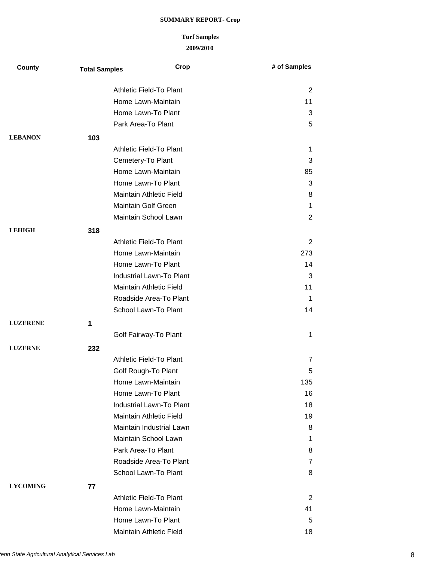| County          | <b>Total Samples</b> | Crop                                     | # of Samples   |
|-----------------|----------------------|------------------------------------------|----------------|
|                 |                      | Athletic Field-To Plant                  | $\overline{2}$ |
|                 |                      | Home Lawn-Maintain                       | 11             |
|                 |                      | Home Lawn-To Plant                       | 3              |
|                 |                      | Park Area-To Plant                       | 5              |
| <b>LEBANON</b>  | 103                  |                                          |                |
|                 |                      | <b>Athletic Field-To Plant</b>           | 1              |
|                 |                      | Cemetery-To Plant                        | 3              |
|                 |                      | Home Lawn-Maintain                       | 85             |
|                 |                      | Home Lawn-To Plant                       | 3              |
|                 |                      | <b>Maintain Athletic Field</b>           | 8              |
|                 |                      | Maintain Golf Green                      | 1              |
|                 |                      | Maintain School Lawn                     | 2              |
| <b>LEHIGH</b>   | 318                  |                                          |                |
|                 |                      | Athletic Field-To Plant                  | 2              |
|                 |                      | Home Lawn-Maintain                       | 273            |
|                 |                      | Home Lawn-To Plant                       | 14             |
|                 |                      | Industrial Lawn-To Plant                 | 3              |
|                 |                      | <b>Maintain Athletic Field</b>           | 11             |
|                 |                      | Roadside Area-To Plant                   | 1              |
|                 |                      | School Lawn-To Plant                     | 14             |
| <b>LUZERENE</b> | 1                    |                                          |                |
|                 |                      | Golf Fairway-To Plant                    | 1              |
| <b>LUZERNE</b>  |                      |                                          |                |
|                 | 232                  | Athletic Field-To Plant                  |                |
|                 |                      |                                          | 7<br>5         |
|                 |                      | Golf Rough-To Plant                      |                |
|                 |                      | Home Lawn-Maintain<br>Home Lawn-To Plant | 135            |
|                 |                      | <b>Industrial Lawn-To Plant</b>          | 16<br>18       |
|                 |                      | <b>Maintain Athletic Field</b>           | 19             |
|                 |                      | Maintain Industrial Lawn                 |                |
|                 |                      | Maintain School Lawn                     | 8<br>1         |
|                 |                      | Park Area-To Plant                       | 8              |
|                 |                      | Roadside Area-To Plant                   | 7              |
|                 |                      | School Lawn-To Plant                     | 8              |
|                 |                      |                                          |                |
| <b>LYCOMING</b> | 77                   |                                          |                |
|                 |                      | <b>Athletic Field-To Plant</b>           | 2              |
|                 |                      | Home Lawn-Maintain                       | 41             |
|                 |                      | Home Lawn-To Plant                       | 5              |
|                 |                      | Maintain Athletic Field                  | 18             |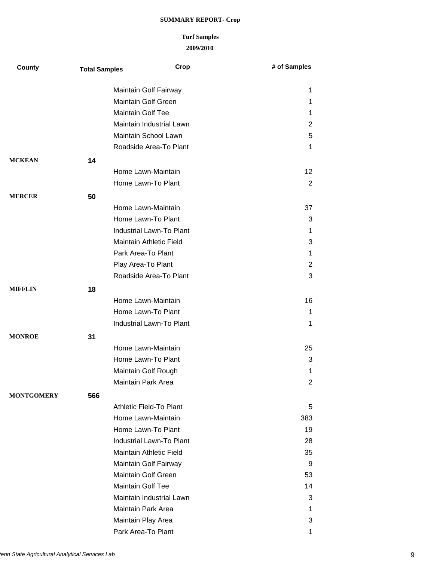| County            | <b>Total Samples</b> | Crop                           | # of Samples    |
|-------------------|----------------------|--------------------------------|-----------------|
|                   |                      | Maintain Golf Fairway          | 1               |
|                   |                      | <b>Maintain Golf Green</b>     | 1               |
|                   |                      | <b>Maintain Golf Tee</b>       | $\mathbf 1$     |
|                   |                      | Maintain Industrial Lawn       | $\overline{2}$  |
|                   |                      | Maintain School Lawn           | 5               |
|                   |                      | Roadside Area-To Plant         | 1               |
| <b>MCKEAN</b>     | 14                   |                                |                 |
|                   |                      | Home Lawn-Maintain             | 12 <sub>2</sub> |
|                   |                      | Home Lawn-To Plant             | $\overline{2}$  |
| <b>MERCER</b>     | 50                   |                                |                 |
|                   |                      | Home Lawn-Maintain             | 37              |
|                   |                      | Home Lawn-To Plant             | 3               |
|                   |                      | Industrial Lawn-To Plant       | 1               |
|                   |                      | <b>Maintain Athletic Field</b> | 3               |
|                   |                      | Park Area-To Plant             | $\mathbf{1}$    |
|                   |                      | Play Area-To Plant             | $\overline{2}$  |
|                   |                      | Roadside Area-To Plant         | 3               |
|                   |                      |                                |                 |
| <b>MIFFLIN</b>    | 18                   |                                |                 |
|                   |                      | Home Lawn-Maintain             | 16              |
|                   |                      | Home Lawn-To Plant             | 1               |
|                   |                      | Industrial Lawn-To Plant       | 1               |
| <b>MONROE</b>     | 31                   |                                |                 |
|                   |                      | Home Lawn-Maintain             | 25              |
|                   |                      | Home Lawn-To Plant             | 3               |
|                   |                      | Maintain Golf Rough            | 1               |
|                   |                      | Maintain Park Area             | $\overline{2}$  |
| <b>MONTGOMERY</b> | 566                  |                                |                 |
|                   |                      | <b>Athletic Field-To Plant</b> | 5               |
|                   |                      | Home Lawn-Maintain             | 383             |
|                   |                      | Home Lawn-To Plant             | 19              |
|                   |                      | Industrial Lawn-To Plant       | 28              |
|                   |                      | Maintain Athletic Field        | 35              |
|                   |                      | Maintain Golf Fairway          | 9               |
|                   |                      | Maintain Golf Green            | 53              |
|                   |                      | Maintain Golf Tee              | 14              |
|                   |                      | Maintain Industrial Lawn       | 3               |
|                   |                      | Maintain Park Area             | 1               |
|                   |                      | Maintain Play Area             | 3               |
|                   |                      | Park Area-To Plant             | 1               |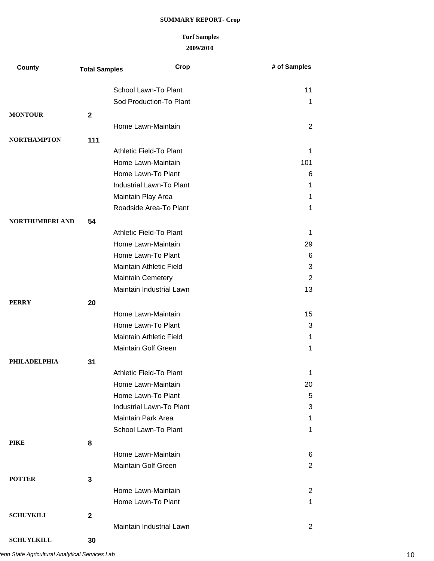# **2009/2010 Turf Samples**

| County                | <b>Total Samples</b> | Crop                           | # of Samples   |
|-----------------------|----------------------|--------------------------------|----------------|
|                       |                      |                                |                |
|                       |                      | School Lawn-To Plant           | 11             |
|                       |                      | Sod Production-To Plant        | 1              |
| <b>MONTOUR</b>        | $\mathbf{2}$         |                                |                |
|                       |                      | Home Lawn-Maintain             | $\overline{2}$ |
| <b>NORTHAMPTON</b>    | 111                  |                                |                |
|                       |                      | Athletic Field-To Plant        | 1              |
|                       |                      | Home Lawn-Maintain             | 101            |
|                       |                      | Home Lawn-To Plant             | 6              |
|                       |                      | Industrial Lawn-To Plant       | 1              |
|                       |                      | Maintain Play Area             | 1              |
|                       |                      | Roadside Area-To Plant         | 1              |
| <b>NORTHUMBERLAND</b> | 54                   |                                |                |
|                       |                      | Athletic Field-To Plant        | 1              |
|                       |                      | Home Lawn-Maintain             | 29             |
|                       |                      | Home Lawn-To Plant             | 6              |
|                       |                      | Maintain Athletic Field        | 3              |
|                       |                      | <b>Maintain Cemetery</b>       | 2              |
|                       |                      | Maintain Industrial Lawn       | 13             |
| <b>PERRY</b>          | 20                   |                                |                |
|                       |                      | Home Lawn-Maintain             | 15             |
|                       |                      | Home Lawn-To Plant             | 3              |
|                       |                      | <b>Maintain Athletic Field</b> | 1              |
|                       |                      | Maintain Golf Green            | 1              |
|                       |                      |                                |                |
| <b>PHILADELPHIA</b>   | 31                   |                                |                |
|                       |                      | <b>Athletic Field-To Plant</b> | 1              |
|                       |                      | Home Lawn-Maintain             | 20             |
|                       |                      | Home Lawn-To Plant             | 5              |
|                       |                      | Industrial Lawn-To Plant       | 3              |
|                       |                      | <b>Maintain Park Area</b>      | 1              |
|                       |                      | School Lawn-To Plant           | 1              |
| <b>PIKE</b>           | 8                    |                                |                |
|                       |                      | Home Lawn-Maintain             | 6              |
|                       |                      | <b>Maintain Golf Green</b>     | $\overline{2}$ |
| <b>POTTER</b>         | 3                    |                                |                |
|                       |                      | Home Lawn-Maintain             | $\overline{2}$ |
|                       |                      | Home Lawn-To Plant             | $\mathbf 1$    |
| <b>SCHUYKILL</b>      | $\mathbf{2}$         |                                |                |
|                       |                      | Maintain Industrial Lawn       | $\overline{c}$ |
|                       |                      |                                |                |

**SCHUYLKILL 30**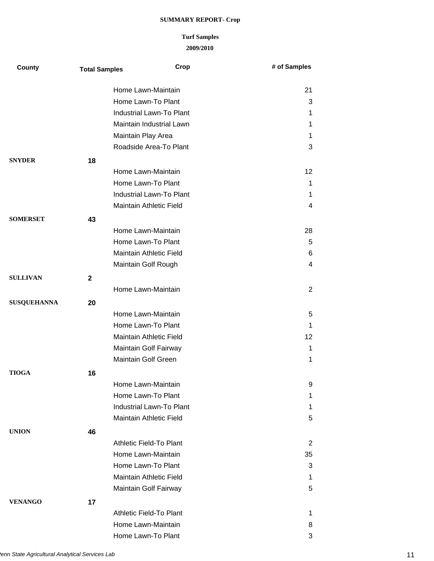| County             | <b>Total Samples</b> | Crop                           | # of Samples    |
|--------------------|----------------------|--------------------------------|-----------------|
|                    |                      | Home Lawn-Maintain             | 21              |
|                    |                      | Home Lawn-To Plant             | 3               |
|                    |                      | Industrial Lawn-To Plant       | 1               |
|                    |                      | Maintain Industrial Lawn       | 1               |
|                    |                      | Maintain Play Area             | 1               |
|                    |                      | Roadside Area-To Plant         | 3               |
| <b>SNYDER</b>      | 18                   |                                |                 |
|                    |                      | Home Lawn-Maintain             | 12 <sub>2</sub> |
|                    |                      | Home Lawn-To Plant             | 1               |
|                    |                      | Industrial Lawn-To Plant       | 1               |
|                    |                      | Maintain Athletic Field        | 4               |
| SOMERSET           | 43                   |                                |                 |
|                    |                      | Home Lawn-Maintain             | 28              |
|                    |                      | Home Lawn-To Plant             | 5               |
|                    |                      | <b>Maintain Athletic Field</b> | 6               |
|                    |                      | Maintain Golf Rough            | 4               |
| <b>SULLIVAN</b>    | $\mathbf{2}$         |                                |                 |
|                    |                      | Home Lawn-Maintain             | $\overline{2}$  |
| <b>SUSQUEHANNA</b> | 20                   |                                |                 |
|                    |                      | Home Lawn-Maintain             | 5               |
|                    |                      | Home Lawn-To Plant             | $\mathbf{1}$    |
|                    |                      | Maintain Athletic Field        | 12              |
|                    |                      | Maintain Golf Fairway          | 1               |
|                    |                      | Maintain Golf Green            | 1               |
| TIOGA              | 16                   |                                |                 |
|                    |                      | Home Lawn-Maintain             | 9               |
|                    |                      | Home Lawn-To Plant             | 1               |
|                    |                      | Industrial Lawn-To Plant       | $\mathbf 1$     |
|                    |                      | Maintain Athletic Field        | 5               |
| <b>UNION</b>       | 46                   |                                |                 |
|                    |                      | Athletic Field-To Plant        | $\overline{2}$  |
|                    |                      | Home Lawn-Maintain             | 35              |
|                    |                      | Home Lawn-To Plant             | 3               |
|                    |                      | <b>Maintain Athletic Field</b> | 1               |
|                    |                      | Maintain Golf Fairway          | 5               |
| <b>VENANGO</b>     | 17                   |                                |                 |
|                    |                      | Athletic Field-To Plant        | 1.              |
|                    |                      | Home Lawn-Maintain             | 8               |
|                    |                      | Home Lawn-To Plant             | 3               |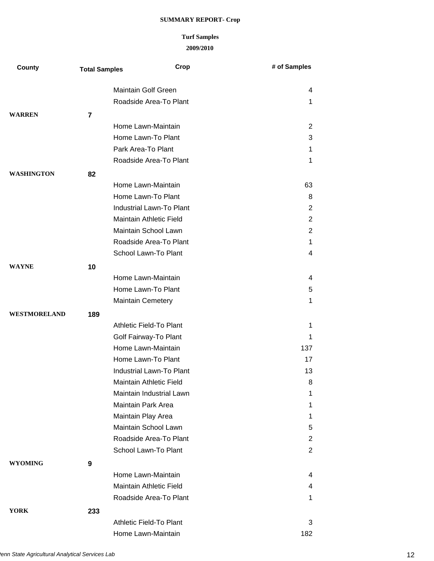| County              | <b>Total Samples</b> | Crop                           | # of Samples   |
|---------------------|----------------------|--------------------------------|----------------|
|                     |                      | <b>Maintain Golf Green</b>     | 4              |
|                     |                      | Roadside Area-To Plant         | 1              |
| <b>WARREN</b>       | 7                    |                                |                |
|                     |                      | Home Lawn-Maintain             | $\overline{2}$ |
|                     |                      | Home Lawn-To Plant             | 3              |
|                     |                      | Park Area-To Plant             | 1              |
|                     |                      | Roadside Area-To Plant         | 1              |
| <b>WASHINGTON</b>   | 82                   |                                |                |
|                     |                      | Home Lawn-Maintain             | 63             |
|                     |                      | Home Lawn-To Plant             | 8              |
|                     |                      | Industrial Lawn-To Plant       | 2              |
|                     |                      | <b>Maintain Athletic Field</b> | 2              |
|                     |                      | Maintain School Lawn           | $\overline{2}$ |
|                     |                      | Roadside Area-To Plant         | 1              |
|                     |                      | School Lawn-To Plant           | 4              |
| <b>WAYNE</b>        | 10                   |                                |                |
|                     |                      | Home Lawn-Maintain             | 4              |
|                     |                      | Home Lawn-To Plant             | 5              |
|                     |                      | <b>Maintain Cemetery</b>       | 1              |
| <b>WESTMORELAND</b> | 189                  |                                |                |
|                     |                      | Athletic Field-To Plant        | 1              |
|                     |                      | Golf Fairway-To Plant          | 1              |
|                     |                      | Home Lawn-Maintain             | 137            |
|                     |                      | Home Lawn-To Plant             | 17             |
|                     |                      | Industrial Lawn-To Plant       | 13             |
|                     |                      | Maintain Athletic Field        | 8              |
|                     |                      | Maintain Industrial Lawn       | 1              |
|                     |                      | Maintain Park Area             | 1              |
|                     |                      | Maintain Play Area             | 1              |
|                     |                      | Maintain School Lawn           | 5              |
|                     |                      | Roadside Area-To Plant         | $\overline{2}$ |
|                     |                      | School Lawn-To Plant           | $\overline{2}$ |
| <b>WYOMING</b>      | 9                    |                                |                |
|                     |                      | Home Lawn-Maintain             | 4              |
|                     |                      | Maintain Athletic Field        | 4              |
|                     |                      | Roadside Area-To Plant         | 1              |
| <b>YORK</b>         | 233                  |                                |                |
|                     |                      | Athletic Field-To Plant        | 3              |
|                     |                      | Home Lawn-Maintain             | 182            |